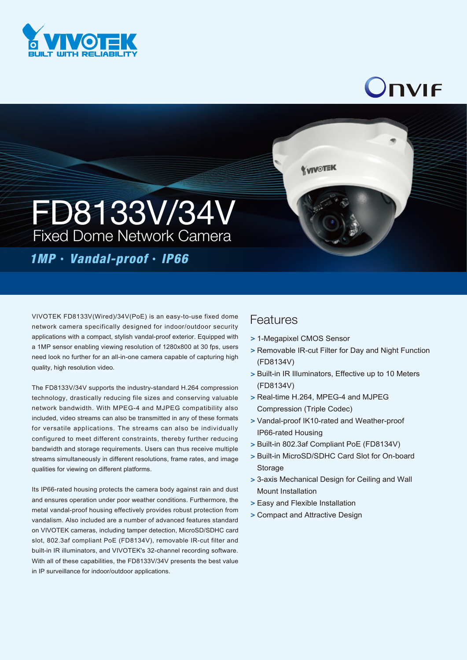

## Onvif



## *1MP*‧*Vandal-proof*‧*IP66*

VIVOTEK FD8133V(Wired)/34V(PoE) is an easy-to-use fixed dome network camera specifically designed for indoor/outdoor security applications with a compact, stylish vandal-proof exterior. Equipped with a 1MP sensor enabling viewing resolution of 1280x800 at 30 fps, users need look no further for an all-in-one camera capable of capturing high quality, high resolution video.

The FD8133V/34V supports the industry-standard H.264 compression technology, drastically reducing file sizes and conserving valuable network bandwidth. With MPEG-4 and MJPEG compatibility also included, video streams can also be transmitted in any of these formats for versatile applications. The streams can also be individually configured to meet different constraints, thereby further reducing bandwidth and storage requirements. Users can thus receive multiple streams simultaneously in different resolutions, frame rates, and image qualities for viewing on different platforms.

Its IP66-rated housing protects the camera body against rain and dust and ensures operation under poor weather conditions. Furthermore, the metal vandal-proof housing effectively provides robust protection from vandalism. Also included are a number of advanced features standard on VIVOTEK cameras, including tamper detection, MicroSD/SDHC card slot, 802.3af compliant PoE (FD8134V), removable IR-cut filter and built-in IR illuminators, and VIVOTEK's 32-channel recording software. With all of these capabilities, the FD8133V/34V presents the best value in IP surveillance for indoor/outdoor applications.

## Features

- 1-Megapixel CMOS Sensor >
- > Removable IR-cut Filter for Day and Night Function (FD8134V)
- > Built-in IR Illuminators, Effective up to 10 Meters (FD8134V)
- > Real-time H.264, MPEG-4 and MJPEG Compression (Triple Codec)

**KVIVOTEK** 

- Vandal-proof IK10-rated and Weather-proof > IP66-rated Housing
- > Built-in 802.3af Compliant PoE (FD8134V)
- > Built-in MicroSD/SDHC Card Slot for On-board Storage
- 3-axis Mechanical Design for Ceiling and Wall > Mount Installation
- Easy and Flexible Installation >
- Compact and Attractive Design >